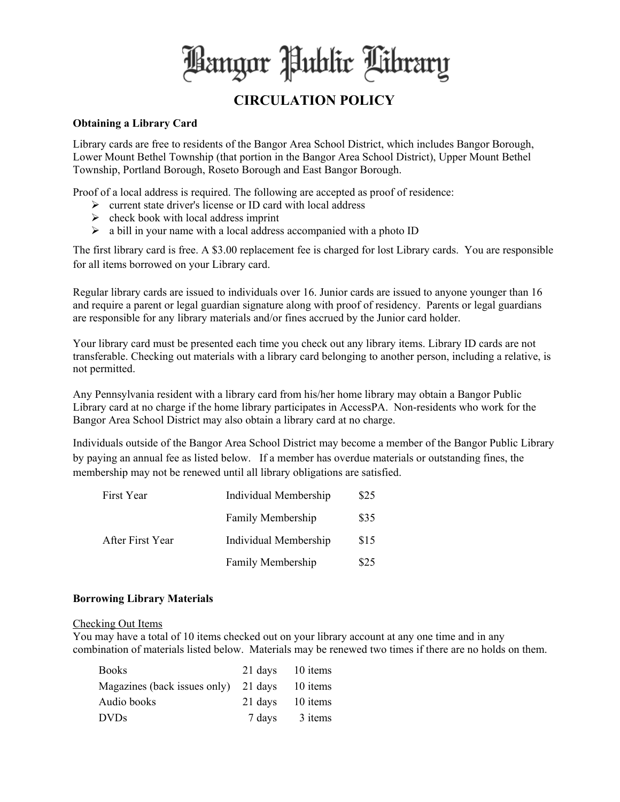Hangor Public Library

# **CIRCULATION POLICY**

#### **Obtaining a Library Card**

Library cards are free to residents of the Bangor Area School District, which includes Bangor Borough, Lower Mount Bethel Township (that portion in the Bangor Area School District), Upper Mount Bethel Township, Portland Borough, Roseto Borough and East Bangor Borough.

Proof of a local address is required. The following are accepted as proof of residence:

- $\triangleright$  current state driver's license or ID card with local address
- $\triangleright$  check book with local address imprint
- $\triangleright$  a bill in your name with a local address accompanied with a photo ID

The first library card is free. A \$3.00 replacement fee is charged for lost Library cards. You are responsible for all items borrowed on your Library card.

Regular library cards are issued to individuals over 16. Junior cards are issued to anyone younger than 16 and require a parent or legal guardian signature along with proof of residency. Parents or legal guardians are responsible for any library materials and/or fines accrued by the Junior card holder.

Your library card must be presented each time you check out any library items. Library ID cards are not transferable. Checking out materials with a library card belonging to another person, including a relative, is not permitted.

Any Pennsylvania resident with a library card from his/her home library may obtain a Bangor Public Library card at no charge if the home library participates in AccessPA. Non-residents who work for the Bangor Area School District may also obtain a library card at no charge.

Individuals outside of the Bangor Area School District may become a member of the Bangor Public Library by paying an annual fee as listed below. If a member has overdue materials or outstanding fines, the membership may not be renewed until all library obligations are satisfied.

| First Year       | Individual Membership | \$25 |
|------------------|-----------------------|------|
|                  | Family Membership     | \$35 |
| After First Year | Individual Membership | \$15 |
|                  | Family Membership     | \$25 |

#### **Borrowing Library Materials**

#### Checking Out Items

You may have a total of 10 items checked out on your library account at any one time and in any combination of materials listed below. Materials may be renewed two times if there are no holds on them.

| <b>Books</b>                         |         | 21 days 10 items |
|--------------------------------------|---------|------------------|
| Magazines (back issues only) 21 days |         | 10 items         |
| Audio books                          | 21 days | 10 items         |
| <b>DVDs</b>                          | 7 days  | 3 items          |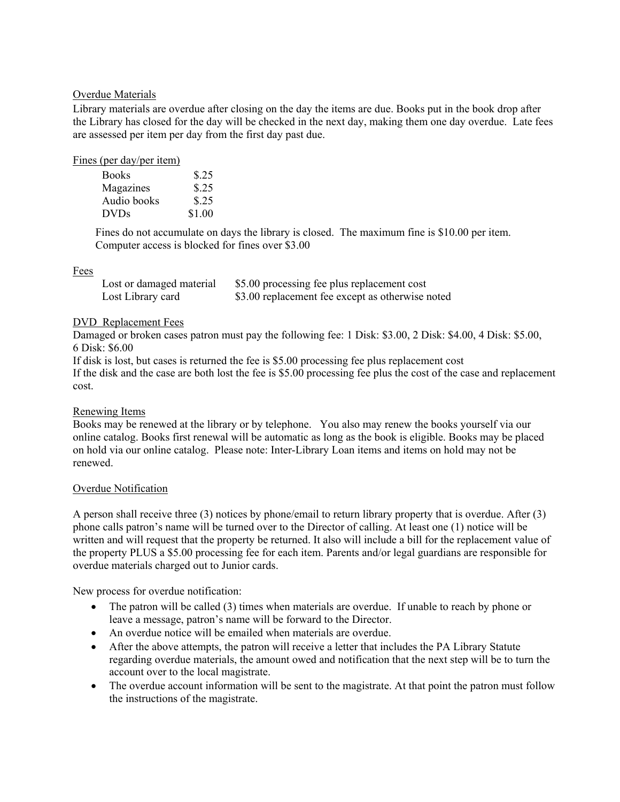# Overdue Materials

Library materials are overdue after closing on the day the items are due. Books put in the book drop after the Library has closed for the day will be checked in the next day, making them one day overdue. Late fees are assessed per item per day from the first day past due.

## Fines (per day/per item)

| <b>Books</b> | \$.25  |
|--------------|--------|
| Magazines    | \$.25  |
| Audio books  | \$.25  |
| <b>DVDs</b>  | \$1.00 |

Fines do not accumulate on days the library is closed. The maximum fine is \$10.00 per item. Computer access is blocked for fines over \$3.00

# Fees

| Lost or damaged material | \$5.00 processing fee plus replacement cost      |
|--------------------------|--------------------------------------------------|
| Lost Library card        | \$3.00 replacement fee except as otherwise noted |

# DVD Replacement Fees

Damaged or broken cases patron must pay the following fee: 1 Disk: \$3.00, 2 Disk: \$4.00, 4 Disk: \$5.00, 6 Disk: \$6.00

If disk is lost, but cases is returned the fee is \$5.00 processing fee plus replacement cost If the disk and the case are both lost the fee is \$5.00 processing fee plus the cost of the case and replacement cost.

# Renewing Items

Books may be renewed at the library or by telephone. You also may renew the books yourself via our online catalog. Books first renewal will be automatic as long as the book is eligible. Books may be placed on hold via our online catalog. Please note: Inter-Library Loan items and items on hold may not be renewed.

# Overdue Notification

A person shall receive three (3) notices by phone/email to return library property that is overdue. After (3) phone calls patron's name will be turned over to the Director of calling. At least one (1) notice will be written and will request that the property be returned. It also will include a bill for the replacement value of the property PLUS a \$5.00 processing fee for each item. Parents and/or legal guardians are responsible for overdue materials charged out to Junior cards.

New process for overdue notification:

- The patron will be called (3) times when materials are overdue. If unable to reach by phone or leave a message, patron's name will be forward to the Director.
- An overdue notice will be emailed when materials are overdue.
- After the above attempts, the patron will receive a letter that includes the PA Library Statute regarding overdue materials, the amount owed and notification that the next step will be to turn the account over to the local magistrate.
- The overdue account information will be sent to the magistrate. At that point the patron must follow the instructions of the magistrate.